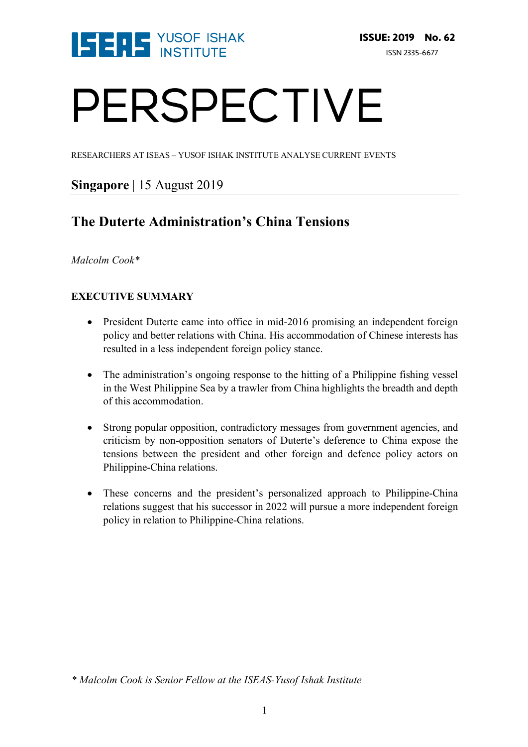

# PERSPECTIVE

RESEARCHERS AT ISEAS – YUSOF ISHAK INSTITUTE ANALYSE CURRENT EVENTS

# **Singapore** | 15 August 2019

# **The Duterte Administration's China Tensions**

*Malcolm Cook\** 

# **EXECUTIVE SUMMARY**

- President Duterte came into office in mid-2016 promising an independent foreign policy and better relations with China. His accommodation of Chinese interests has resulted in a less independent foreign policy stance.
- The administration's ongoing response to the hitting of a Philippine fishing vessel in the West Philippine Sea by a trawler from China highlights the breadth and depth of this accommodation.
- Strong popular opposition, contradictory messages from government agencies, and criticism by non-opposition senators of Duterte's deference to China expose the tensions between the president and other foreign and defence policy actors on Philippine-China relations.
- These concerns and the president's personalized approach to Philippine-China relations suggest that his successor in 2022 will pursue a more independent foreign policy in relation to Philippine-China relations.

*<sup>\*</sup> Malcolm Cook is Senior Fellow at the ISEAS-Yusof Ishak Institute*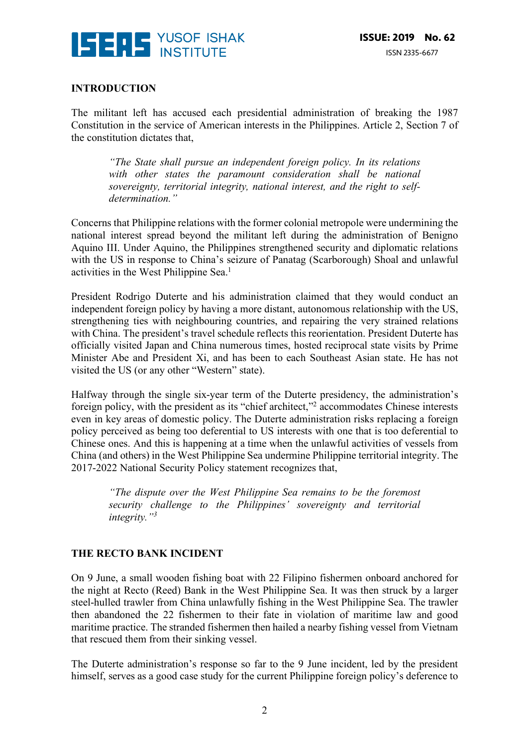

#### **INTRODUCTION**

The militant left has accused each presidential administration of breaking the 1987 Constitution in the service of American interests in the Philippines. Article 2, Section 7 of the constitution dictates that,

*"The State shall pursue an independent foreign policy. In its relations with other states the paramount consideration shall be national sovereignty, territorial integrity, national interest, and the right to selfdetermination."* 

Concerns that Philippine relations with the former colonial metropole were undermining the national interest spread beyond the militant left during the administration of Benigno Aquino III. Under Aquino, the Philippines strengthened security and diplomatic relations with the US in response to China's seizure of Panatag (Scarborough) Shoal and unlawful activities in the West Philippine Sea.1

President Rodrigo Duterte and his administration claimed that they would conduct an independent foreign policy by having a more distant, autonomous relationship with the US, strengthening ties with neighbouring countries, and repairing the very strained relations with China. The president's travel schedule reflects this reorientation. President Duterte has officially visited Japan and China numerous times, hosted reciprocal state visits by Prime Minister Abe and President Xi, and has been to each Southeast Asian state. He has not visited the US (or any other "Western" state).

Halfway through the single six-year term of the Duterte presidency, the administration's foreign policy, with the president as its "chief architect,"2 accommodates Chinese interests even in key areas of domestic policy. The Duterte administration risks replacing a foreign policy perceived as being too deferential to US interests with one that is too deferential to Chinese ones. And this is happening at a time when the unlawful activities of vessels from China (and others) in the West Philippine Sea undermine Philippine territorial integrity. The 2017-2022 National Security Policy statement recognizes that,

*"The dispute over the West Philippine Sea remains to be the foremost security challenge to the Philippines' sovereignty and territorial integrity."3*

## **THE RECTO BANK INCIDENT**

On 9 June, a small wooden fishing boat with 22 Filipino fishermen onboard anchored for the night at Recto (Reed) Bank in the West Philippine Sea. It was then struck by a larger steel-hulled trawler from China unlawfully fishing in the West Philippine Sea. The trawler then abandoned the 22 fishermen to their fate in violation of maritime law and good maritime practice. The stranded fishermen then hailed a nearby fishing vessel from Vietnam that rescued them from their sinking vessel.

The Duterte administration's response so far to the 9 June incident, led by the president himself, serves as a good case study for the current Philippine foreign policy's deference to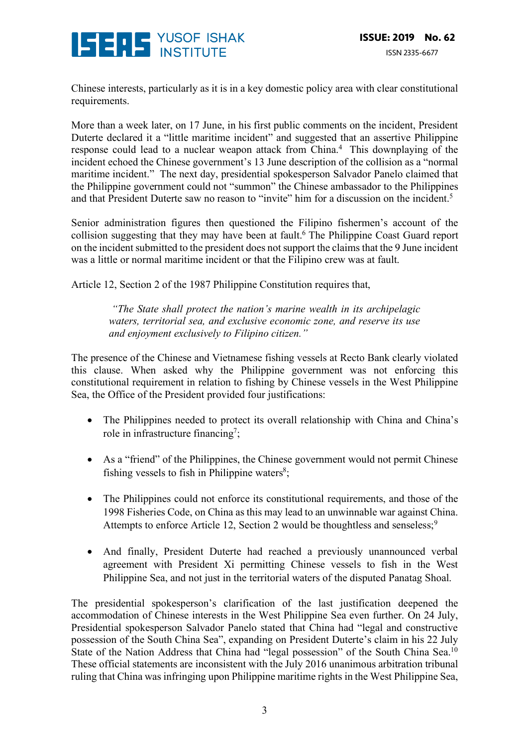

Chinese interests, particularly as it is in a key domestic policy area with clear constitutional requirements.

More than a week later, on 17 June, in his first public comments on the incident, President Duterte declared it a "little maritime incident" and suggested that an assertive Philippine response could lead to a nuclear weapon attack from China.4 This downplaying of the incident echoed the Chinese government's 13 June description of the collision as a "normal maritime incident." The next day, presidential spokesperson Salvador Panelo claimed that the Philippine government could not "summon" the Chinese ambassador to the Philippines and that President Duterte saw no reason to "invite" him for a discussion on the incident.<sup>5</sup>

Senior administration figures then questioned the Filipino fishermen's account of the collision suggesting that they may have been at fault.<sup>6</sup> The Philippine Coast Guard report on the incident submitted to the president does not support the claims that the 9 June incident was a little or normal maritime incident or that the Filipino crew was at fault.

Article 12, Section 2 of the 1987 Philippine Constitution requires that,

*"The State shall protect the nation's marine wealth in its archipelagic waters, territorial sea, and exclusive economic zone, and reserve its use and enjoyment exclusively to Filipino citizen."* 

The presence of the Chinese and Vietnamese fishing vessels at Recto Bank clearly violated this clause. When asked why the Philippine government was not enforcing this constitutional requirement in relation to fishing by Chinese vessels in the West Philippine Sea, the Office of the President provided four justifications:

- The Philippines needed to protect its overall relationship with China and China's role in infrastructure financing<sup>7</sup>;
- As a "friend" of the Philippines, the Chinese government would not permit Chinese fishing vessels to fish in Philippine waters $s$ ;
- The Philippines could not enforce its constitutional requirements, and those of the 1998 Fisheries Code, on China as this may lead to an unwinnable war against China. Attempts to enforce Article 12, Section 2 would be thoughtless and senseless;<sup>9</sup>
- And finally, President Duterte had reached a previously unannounced verbal agreement with President Xi permitting Chinese vessels to fish in the West Philippine Sea, and not just in the territorial waters of the disputed Panatag Shoal.

The presidential spokesperson's clarification of the last justification deepened the accommodation of Chinese interests in the West Philippine Sea even further. On 24 July, Presidential spokesperson Salvador Panelo stated that China had "legal and constructive possession of the South China Sea", expanding on President Duterte's claim in his 22 July State of the Nation Address that China had "legal possession" of the South China Sea.<sup>10</sup> These official statements are inconsistent with the July 2016 unanimous arbitration tribunal ruling that China was infringing upon Philippine maritime rights in the West Philippine Sea,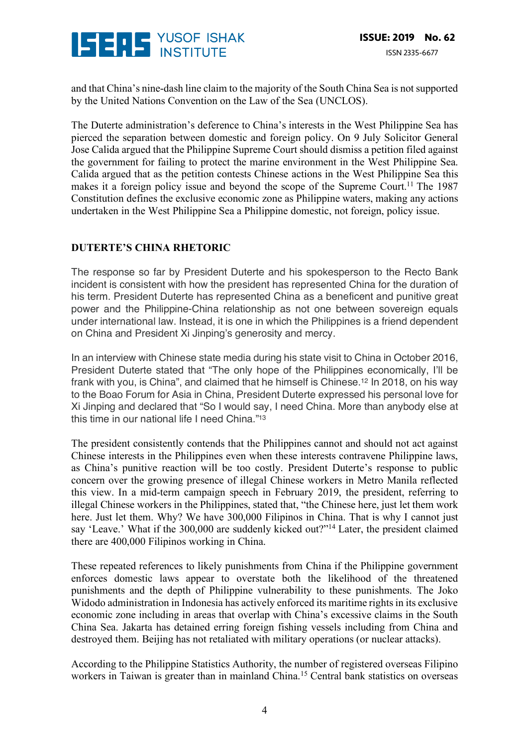

and that China's nine-dash line claim to the majority of the South China Sea is not supported by the United Nations Convention on the Law of the Sea (UNCLOS).

The Duterte administration's deference to China's interests in the West Philippine Sea has pierced the separation between domestic and foreign policy. On 9 July Solicitor General Jose Calida argued that the Philippine Supreme Court should dismiss a petition filed against the government for failing to protect the marine environment in the West Philippine Sea. Calida argued that as the petition contests Chinese actions in the West Philippine Sea this makes it a foreign policy issue and beyond the scope of the Supreme Court.<sup>11</sup> The 1987 Constitution defines the exclusive economic zone as Philippine waters, making any actions undertaken in the West Philippine Sea a Philippine domestic, not foreign, policy issue.

## **DUTERTE'S CHINA RHETORIC**

The response so far by President Duterte and his spokesperson to the Recto Bank incident is consistent with how the president has represented China for the duration of his term. President Duterte has represented China as a beneficent and punitive great power and the Philippine-China relationship as not one between sovereign equals under international law. Instead, it is one in which the Philippines is a friend dependent on China and President Xi Jinping's generosity and mercy.

In an interview with Chinese state media during his state visit to China in October 2016, President Duterte stated that "The only hope of the Philippines economically, I'll be frank with you, is China", and claimed that he himself is Chinese.12 In 2018, on his way to the Boao Forum for Asia in China, President Duterte expressed his personal love for Xi Jinping and declared that "So I would say, I need China. More than anybody else at this time in our national life I need China."13

The president consistently contends that the Philippines cannot and should not act against Chinese interests in the Philippines even when these interests contravene Philippine laws, as China's punitive reaction will be too costly. President Duterte's response to public concern over the growing presence of illegal Chinese workers in Metro Manila reflected this view. In a mid-term campaign speech in February 2019, the president, referring to illegal Chinese workers in the Philippines, stated that, "the Chinese here, just let them work here. Just let them. Why? We have 300,000 Filipinos in China. That is why I cannot just say 'Leave.' What if the 300,000 are suddenly kicked out?"<sup>14</sup> Later, the president claimed there are 400,000 Filipinos working in China.

These repeated references to likely punishments from China if the Philippine government enforces domestic laws appear to overstate both the likelihood of the threatened punishments and the depth of Philippine vulnerability to these punishments. The Joko Widodo administration in Indonesia has actively enforced its maritime rights in its exclusive economic zone including in areas that overlap with China's excessive claims in the South China Sea. Jakarta has detained erring foreign fishing vessels including from China and destroyed them. Beijing has not retaliated with military operations (or nuclear attacks).

According to the Philippine Statistics Authority, the number of registered overseas Filipino workers in Taiwan is greater than in mainland China.<sup>15</sup> Central bank statistics on overseas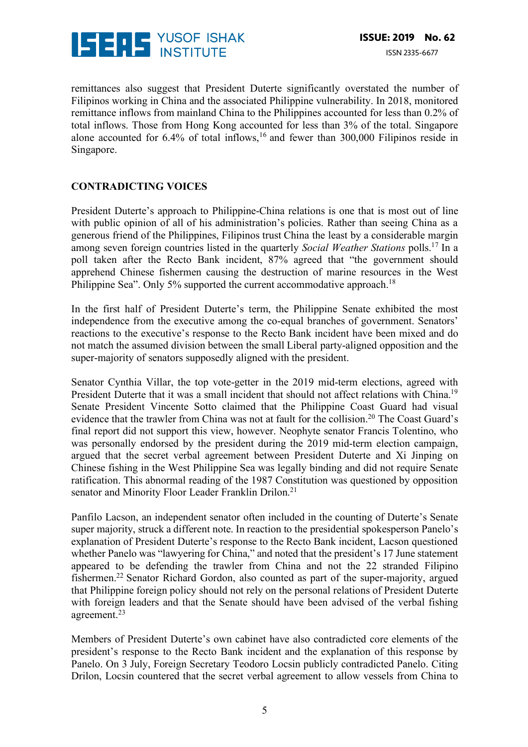

remittances also suggest that President Duterte significantly overstated the number of Filipinos working in China and the associated Philippine vulnerability. In 2018, monitored remittance inflows from mainland China to the Philippines accounted for less than 0.2% of total inflows. Those from Hong Kong accounted for less than 3% of the total. Singapore alone accounted for 6.4% of total inflows, <sup>16</sup> and fewer than 300,000 Filipinos reside in Singapore.

## **CONTRADICTING VOICES**

President Duterte's approach to Philippine-China relations is one that is most out of line with public opinion of all of his administration's policies. Rather than seeing China as a generous friend of the Philippines, Filipinos trust China the least by a considerable margin among seven foreign countries listed in the quarterly *Social Weather Stations* polls.17 In a poll taken after the Recto Bank incident, 87% agreed that "the government should apprehend Chinese fishermen causing the destruction of marine resources in the West Philippine Sea". Only 5% supported the current accommodative approach.<sup>18</sup>

In the first half of President Duterte's term, the Philippine Senate exhibited the most independence from the executive among the co-equal branches of government. Senators' reactions to the executive's response to the Recto Bank incident have been mixed and do not match the assumed division between the small Liberal party-aligned opposition and the super-majority of senators supposedly aligned with the president.

Senator Cynthia Villar, the top vote-getter in the 2019 mid-term elections, agreed with President Duterte that it was a small incident that should not affect relations with China.<sup>19</sup> Senate President Vincente Sotto claimed that the Philippine Coast Guard had visual evidence that the trawler from China was not at fault for the collision.<sup>20</sup> The Coast Guard's final report did not support this view, however. Neophyte senator Francis Tolentino, who was personally endorsed by the president during the 2019 mid-term election campaign, argued that the secret verbal agreement between President Duterte and Xi Jinping on Chinese fishing in the West Philippine Sea was legally binding and did not require Senate ratification. This abnormal reading of the 1987 Constitution was questioned by opposition senator and Minority Floor Leader Franklin Drilon.<sup>21</sup>

Panfilo Lacson, an independent senator often included in the counting of Duterte's Senate super majority, struck a different note. In reaction to the presidential spokesperson Panelo's explanation of President Duterte's response to the Recto Bank incident, Lacson questioned whether Panelo was "lawyering for China," and noted that the president's 17 June statement appeared to be defending the trawler from China and not the 22 stranded Filipino fishermen.22 Senator Richard Gordon, also counted as part of the super-majority, argued that Philippine foreign policy should not rely on the personal relations of President Duterte with foreign leaders and that the Senate should have been advised of the verbal fishing agreement.23

Members of President Duterte's own cabinet have also contradicted core elements of the president's response to the Recto Bank incident and the explanation of this response by Panelo. On 3 July, Foreign Secretary Teodoro Locsin publicly contradicted Panelo. Citing Drilon, Locsin countered that the secret verbal agreement to allow vessels from China to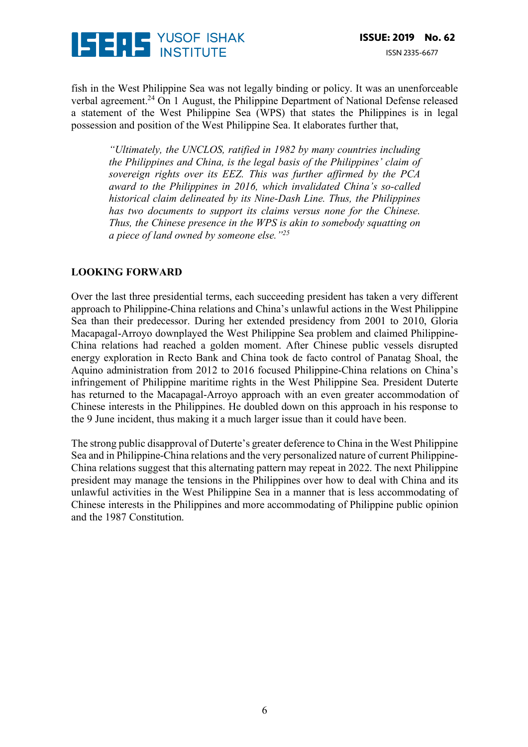

fish in the West Philippine Sea was not legally binding or policy. It was an unenforceable verbal agreement.24 On 1 August, the Philippine Department of National Defense released a statement of the West Philippine Sea (WPS) that states the Philippines is in legal possession and position of the West Philippine Sea. It elaborates further that,

*"Ultimately, the UNCLOS, ratified in 1982 by many countries including the Philippines and China, is the legal basis of the Philippines' claim of sovereign rights over its EEZ. This was further affirmed by the PCA award to the Philippines in 2016, which invalidated China's so-called historical claim delineated by its Nine-Dash Line. Thus, the Philippines has two documents to support its claims versus none for the Chinese. Thus, the Chinese presence in the WPS is akin to somebody squatting on a piece of land owned by someone else."25*

#### **LOOKING FORWARD**

Over the last three presidential terms, each succeeding president has taken a very different approach to Philippine-China relations and China's unlawful actions in the West Philippine Sea than their predecessor. During her extended presidency from 2001 to 2010, Gloria Macapagal-Arroyo downplayed the West Philippine Sea problem and claimed Philippine-China relations had reached a golden moment. After Chinese public vessels disrupted energy exploration in Recto Bank and China took de facto control of Panatag Shoal, the Aquino administration from 2012 to 2016 focused Philippine-China relations on China's infringement of Philippine maritime rights in the West Philippine Sea. President Duterte has returned to the Macapagal-Arroyo approach with an even greater accommodation of Chinese interests in the Philippines. He doubled down on this approach in his response to the 9 June incident, thus making it a much larger issue than it could have been.

The strong public disapproval of Duterte's greater deference to China in the West Philippine Sea and in Philippine-China relations and the very personalized nature of current Philippine-China relations suggest that this alternating pattern may repeat in 2022. The next Philippine president may manage the tensions in the Philippines over how to deal with China and its unlawful activities in the West Philippine Sea in a manner that is less accommodating of Chinese interests in the Philippines and more accommodating of Philippine public opinion and the 1987 Constitution.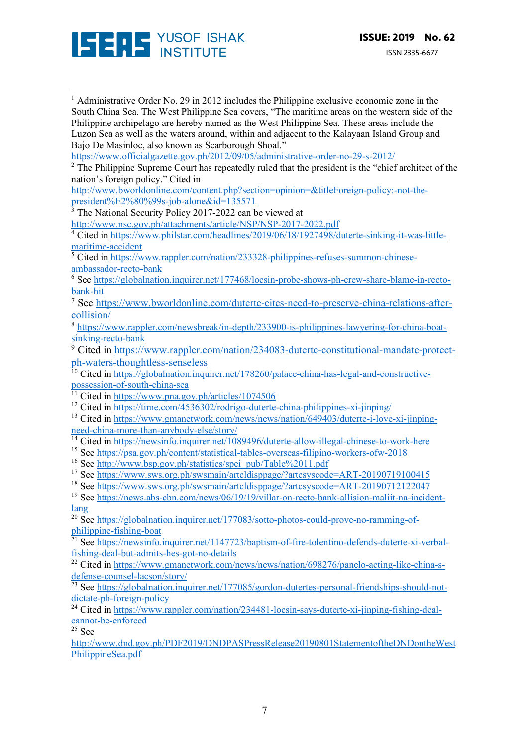

<sup>1</sup> Administrative Order No. 29 in 2012 includes the Philippine exclusive economic zone in the South China Sea. The West Philippine Sea covers, "The maritime areas on the western side of the Philippine archipelago are hereby named as the West Philippine Sea. These areas include the Luzon Sea as well as the waters around, within and adjacent to the Kalayaan Island Group and Bajo De Masinloc, also known as Scarborough Shoal." https://www.officialgazette.gov.ph/2012/09/05/administrative-order-no-29-s-2012/ 

<sup>2</sup> The Philippine Supreme Court has repeatedly ruled that the president is the "chief architect of the nation's foreign policy." Cited in

http://www.bworldonline.com/content.php?section=opinion=&titleForeign-policy:-not-thepresident%E2%80%99s-job-alone&id=135571

<sup>3</sup> The National Security Policy 2017-2022 can be viewed at

http://www.nsc.gov.ph/attachments/article/NSP/NSP-2017-2022.pdf

<sup>4</sup> Cited in https://www.philstar.com/headlines/2019/06/18/1927498/duterte-sinking-it-was-littlemaritime-accident

<sup>5</sup> Cited in https://www.rappler.com/nation/233328-philippines-refuses-summon-chineseambassador-recto-bank

<sup>6</sup> See https://globalnation.inquirer.net/177468/locsin-probe-shows-ph-crew-share-blame-in-rectobank-hit

<sup>7</sup> See https://www.bworldonline.com/duterte-cites-need-to-preserve-china-relations-aftercollision/

<sup>8</sup> https://www.rappler.com/newsbreak/in-depth/233900-is-philippines-lawyering-for-china-boatsinking-recto-bank

<sup>9</sup> Cited in https://www.rappler.com/nation/234083-duterte-constitutional-mandate-protectph-waters-thoughtless-senseless

<sup>10</sup> Cited in https://globalnation.inquirer.net/178260/palace-china-has-legal-and-constructivepossession-of-south-china-sea<br>
<u>11</u> Cited : 12

Cited in https://www.pna.gov.ph/articles/1074506

<sup>12</sup> Cited in https://time.com/4536302/rodrigo-duterte-china-philippines-xi-jinping/

<sup>13</sup> Cited in https://www.gmanetwork.com/news/news/nation/649403/duterte-i-love-xi-jinpingneed-china-more-than-anybody-else/story/

<sup>14</sup> Cited in https://newsinfo.inquirer.net/1089496/duterte-allow-illegal-chinese-to-work-here

<sup>15</sup> See https://psa.gov.ph/content/statistical-tables-overseas-filipino-workers-ofw-2018

<sup>16</sup> See http://www.bsp.gov.ph/statistics/spei\_pub/Table%2011.pdf

<sup>17</sup> See https://www.sws.org.ph/swsmain/artcldisppage/?artcsyscode=ART-20190719100415

<sup>18</sup> See https://www.sws.org.ph/swsmain/artcldisppage/?artcsyscode=ART-20190712122047

<sup>19</sup> See https://news.abs-cbn.com/news/06/19/19/villar-on-recto-bank-allision-maliit-na-incidentlang

 $\frac{20}{20}$  See https://globalnation.inquirer.net/177083/sotto-photos-could-prove-no-ramming-ofphilippine-fishing-boat

<sup>21</sup> See https://newsinfo.inquirer.net/1147723/baptism-of-fire-tolentino-defends-duterte-xi-verbalfishing-deal-but-admits-hes-got-no-details

 $22$  Cited in https://www.gmanetwork.com/news/news/nation/698276/panelo-acting-like-china-sdefense-counsel-lacson/story/

 $\frac{23}{23}$  See https://globalnation.inquirer.net/177085/gordon-dutertes-personal-friendships-should-notdictate-ph-foreign-policy

 $\frac{1}{24}$  Cited in https://www.rappler.com/nation/234481-locsin-says-duterte-xi-jinping-fishing-dealcannot-be-enforced

 $25$  See

http://www.dnd.gov.ph/PDF2019/DNDPASPressRelease20190801StatementoftheDNDontheWest PhilippineSea.pdf